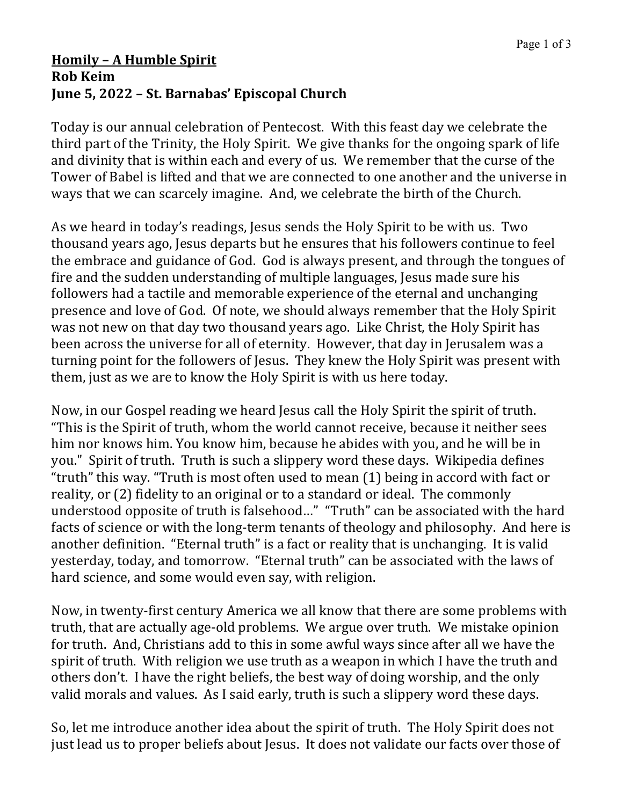## **Homily – A Humble Spirit Rob Keim June 5, 2022 – St. Barnabas' Episcopal Church**

Today is our annual celebration of Pentecost. With this feast day we celebrate the third part of the Trinity, the Holy Spirit. We give thanks for the ongoing spark of life and divinity that is within each and every of us. We remember that the curse of the Tower of Babel is lifted and that we are connected to one another and the universe in ways that we can scarcely imagine. And, we celebrate the birth of the Church.

As we heard in today's readings, Jesus sends the Holy Spirit to be with us. Two thousand years ago, Jesus departs but he ensures that his followers continue to feel the embrace and guidance of God. God is always present, and through the tongues of fire and the sudden understanding of multiple languages, Jesus made sure his followers had a tactile and memorable experience of the eternal and unchanging presence and love of God. Of note, we should always remember that the Holy Spirit was not new on that day two thousand years ago. Like Christ, the Holy Spirit has been across the universe for all of eternity. However, that day in Jerusalem was a turning point for the followers of Jesus. They knew the Holy Spirit was present with them, just as we are to know the Holy Spirit is with us here today.

Now, in our Gospel reading we heard Jesus call the Holy Spirit the spirit of truth. "This is the Spirit of truth, whom the world cannot receive, because it neither sees him nor knows him. You know him, because he abides with you, and he will be in you." Spirit of truth. Truth is such a slippery word these days. Wikipedia defines "truth" this way. "Truth is most often used to mean  $(1)$  being in accord with fact or reality, or (2) fidelity to an original or to a standard or ideal. The commonly understood opposite of truth is falsehood..." "Truth" can be associated with the hard facts of science or with the long-term tenants of theology and philosophy. And here is another definition. "Eternal truth" is a fact or reality that is unchanging. It is valid yesterday, today, and tomorrow. "Eternal truth" can be associated with the laws of hard science, and some would even say, with religion.

Now, in twenty-first century America we all know that there are some problems with truth, that are actually age-old problems. We argue over truth. We mistake opinion for truth. And, Christians add to this in some awful ways since after all we have the spirit of truth. With religion we use truth as a weapon in which I have the truth and others don't. I have the right beliefs, the best way of doing worship, and the only valid morals and values. As I said early, truth is such a slippery word these days.

So, let me introduce another idea about the spirit of truth. The Holy Spirit does not just lead us to proper beliefs about Jesus. It does not validate our facts over those of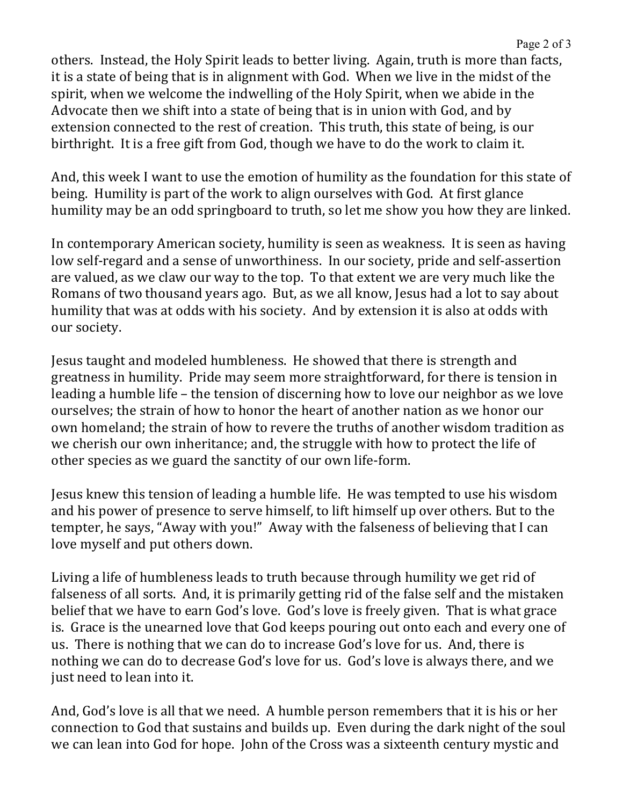others. Instead, the Holy Spirit leads to better living. Again, truth is more than facts, it is a state of being that is in alignment with God. When we live in the midst of the spirit, when we welcome the indwelling of the Holy Spirit, when we abide in the Advocate then we shift into a state of being that is in union with God, and by extension connected to the rest of creation. This truth, this state of being, is our birthright. It is a free gift from God, though we have to do the work to claim it.

And, this week I want to use the emotion of humility as the foundation for this state of being. Humility is part of the work to align ourselves with God. At first glance humility may be an odd springboard to truth, so let me show you how they are linked.

In contemporary American society, humility is seen as weakness. It is seen as having low self-regard and a sense of unworthiness. In our society, pride and self-assertion are valued, as we claw our way to the top. To that extent we are very much like the Romans of two thousand years ago. But, as we all know, Jesus had a lot to say about humility that was at odds with his society. And by extension it is also at odds with our society.

Jesus taught and modeled humbleness. He showed that there is strength and greatness in humility. Pride may seem more straightforward, for there is tension in leading a humble life – the tension of discerning how to love our neighbor as we love ourselves; the strain of how to honor the heart of another nation as we honor our own homeland; the strain of how to revere the truths of another wisdom tradition as we cherish our own inheritance; and, the struggle with how to protect the life of other species as we guard the sanctity of our own life-form.

Jesus knew this tension of leading a humble life. He was tempted to use his wisdom and his power of presence to serve himself, to lift himself up over others. But to the tempter, he says, "Away with you!" Away with the falseness of believing that I can love myself and put others down.

Living a life of humbleness leads to truth because through humility we get rid of falseness of all sorts. And, it is primarily getting rid of the false self and the mistaken belief that we have to earn God's love. God's love is freely given. That is what grace is. Grace is the unearned love that God keeps pouring out onto each and every one of us. There is nothing that we can do to increase God's love for us. And, there is nothing we can do to decrease God's love for us. God's love is always there, and we just need to lean into it.

And, God's love is all that we need. A humble person remembers that it is his or her connection to God that sustains and builds up. Even during the dark night of the soul we can lean into God for hope. John of the Cross was a sixteenth century mystic and